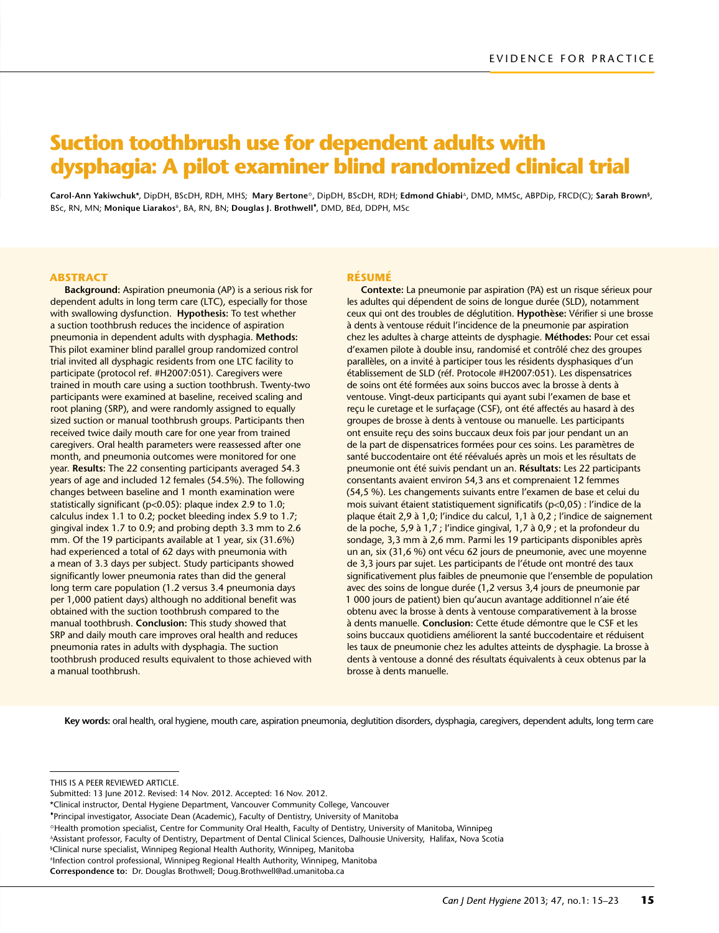# **Suction toothbrush use for dependent adults with dysphagia: A pilot examiner blind randomized clinical trial**

Carol-Ann Yakiwchuk\*, DipDH, BScDH, RDH, MHS; Mary Bertone<sup>o</sup>, DipDH, BScDH, RDH; Edmond Ghiabi<sup>∆</sup>, DMD, MMSc, ABPDip, FRCD(C); Sarah Brown<sup>§</sup>, BSc, RN, MN; Monique Liarakos<sup>±</sup>, BA, RN, BN; Douglas J. Brothwell<sup>+</sup>, DMD, BEd, DDPH, MSc

#### **ABSTRACT**

**Background:** Aspiration pneumonia (AP) is a serious risk for dependent adults in long term care (LTC), especially for those with swallowing dysfunction. **Hypothesis:** To test whether a suction toothbrush reduces the incidence of aspiration pneumonia in dependent adults with dysphagia. **Methods:** This pilot examiner blind parallel group randomized control trial invited all dysphagic residents from one LTC facility to participate (protocol ref. #H2007:051). Caregivers were trained in mouth care using a suction toothbrush. Twenty-two participants were examined at baseline, received scaling and root planing (SRP), and were randomly assigned to equally sized suction or manual toothbrush groups. Participants then received twice daily mouth care for one year from trained caregivers. Oral health parameters were reassessed after one month, and pneumonia outcomes were monitored for one year. **Results:** The 22 consenting participants averaged 54.3 years of age and included 12 females (54.5%). The following changes between baseline and 1 month examination were statistically significant (p<0.05): plaque index 2.9 to 1.0; calculus index 1.1 to 0.2; pocket bleeding index 5.9 to 1.7; gingival index 1.7 to 0.9; and probing depth 3.3 mm to 2.6 mm. Of the 19 participants available at 1 year, six (31.6%) had experienced a total of 62 days with pneumonia with a mean of 3.3 days per subject. Study participants showed significantly lower pneumonia rates than did the general long term care population (1.2 versus 3.4 pneumonia days per 1,000 patient days) although no additional benefit was obtained with the suction toothbrush compared to the manual toothbrush. **Conclusion:** This study showed that SRP and daily mouth care improves oral health and reduces pneumonia rates in adults with dysphagia. The suction toothbrush produced results equivalent to those achieved with a manual toothbrush.

#### **Résumé**

**Contexte:** La pneumonie par aspiration (PA) est un risque sérieux pour les adultes qui dépendent de soins de longue durée (SLD), notamment ceux qui ont des troubles de déglutition. **Hypothèse:** Vérifier si une brosse à dents à ventouse réduit l'incidence de la pneumonie par aspiration chez les adultes à charge atteints de dysphagie. **Méthodes:** Pour cet essai d'examen pilote à double insu, randomisé et contrôlé chez des groupes parallèles, on a invité à participer tous les résidents dysphasiques d'un établissement de SLD (réf. Protocole #H2007:051). Les dispensatrices de soins ont été formées aux soins buccos avec la brosse à dents à ventouse. Vingt-deux participants qui ayant subi l'examen de base et reçu le curetage et le surfaçage (CSF), ont été affectés au hasard à des groupes de brosse à dents à ventouse ou manuelle. Les participants ont ensuite reçu des soins buccaux deux fois par jour pendant un an de la part de dispensatrices formées pour ces soins. Les paramètres de santé buccodentaire ont été réévalués après un mois et les résultats de pneumonie ont été suivis pendant un an. **Résultats:** Les 22 participants consentants avaient environ 54,3 ans et comprenaient 12 femmes (54,5 %). Les changements suivants entre l'examen de base et celui du mois suivant étaient statistiquement significatifs (p<0,05) : l'indice de la plaque était 2,9 à 1,0; l'indice du calcul, 1,1 à 0,2 ; l'indice de saignement de la poche, 5,9 à 1,7 ; l'indice gingival, 1,7 à 0,9 ; et la profondeur du sondage, 3,3 mm à 2,6 mm. Parmi les 19 participants disponibles après un an, six (31,6 %) ont vécu 62 jours de pneumonie, avec une moyenne de 3,3 jours par sujet. Les participants de l'étude ont montré des taux significativement plus faibles de pneumonie que l'ensemble de population avec des soins de longue durée (1,2 versus 3,4 jours de pneumonie par 1 000 jours de patient) bien qu'aucun avantage additionnel n'aie été obtenu avec la brosse à dents à ventouse comparativement à la brosse à dents manuelle. **Conclusion:** Cette étude démontre que le CSF et les soins buccaux quotidiens améliorent la santé buccodentaire et réduisent les taux de pneumonie chez les adultes atteints de dysphagie. La brosse à dents à ventouse a donné des résultats équivalents à ceux obtenus par la brosse à dents manuelle.

**Key words:** oral health, oral hygiene, mouth care, aspiration pneumonia, deglutition disorders, dysphagia, caregivers, dependent adults, long term care

This is a peer reviewed ARTICLE.

§ Clinical nurse specialist, Winnipeg Regional Health Authority, Winnipeg, Manitoba

Submitted: 13 June 2012. Revised: 14 Nov. 2012. Accepted: 16 Nov. 2012.

<sup>\*</sup>Clinical instructor, Dental Hygiene Department, Vancouver Community College, Vancouver

<sup>\*</sup>Principal investigator, Associate Dean (Academic), Faculty of Dentistry, University of Manitoba

<sup>&</sup>lt;sup>o</sup> Health promotion specialist, Centre for Community Oral Health, Faculty of Dentistry, University of Manitoba, Winnipeg

<sup>∆</sup>Assistant professor, Faculty of Dentistry, Department of Dental Clinical Sciences, Dalhousie University, Halifax, Nova Scotia

<sup>±</sup>Infection control professional, Winnipeg Regional Health Authority, Winnipeg, Manitoba

**Correspondence to:** Dr. Douglas Brothwell; Doug.Brothwell@ad.umanitoba.ca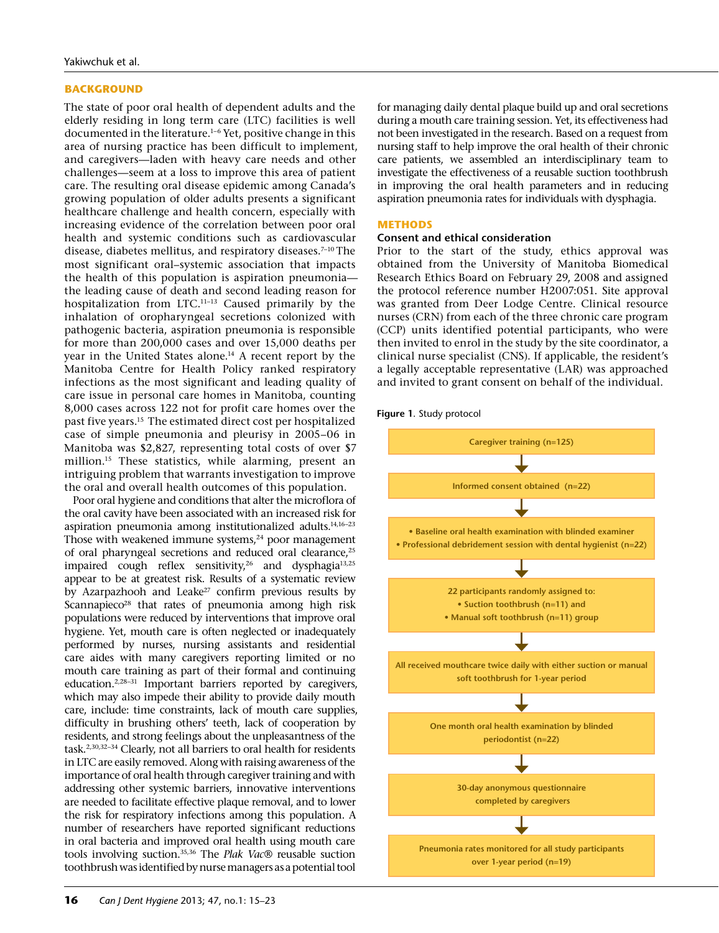# **BACKGROUND**

The state of poor oral health of dependent adults and the elderly residing in long term care (LTC) facilities is well documented in the literature.<sup>1-6</sup> Yet, positive change in this area of nursing practice has been difficult to implement, and caregivers—laden with heavy care needs and other challenges—seem at a loss to improve this area of patient care. The resulting oral disease epidemic among Canada's growing population of older adults presents a significant healthcare challenge and health concern, especially with increasing evidence of the correlation between poor oral health and systemic conditions such as cardiovascular disease, diabetes mellitus, and respiratory diseases.<sup>7-10</sup> The most significant oral–systemic association that impacts the health of this population is aspiration pneumonia the leading cause of death and second leading reason for hospitalization from LTC.11–13 Caused primarily by the inhalation of oropharyngeal secretions colonized with pathogenic bacteria, aspiration pneumonia is responsible for more than 200,000 cases and over 15,000 deaths per year in the United States alone.<sup>14</sup> A recent report by the Manitoba Centre for Health Policy ranked respiratory infections as the most significant and leading quality of care issue in personal care homes in Manitoba, counting 8,000 cases across 122 not for profit care homes over the past five years.15 The estimated direct cost per hospitalized case of simple pneumonia and pleurisy in 2005–06 in Manitoba was \$2,827, representing total costs of over \$7 million.15 These statistics, while alarming, present an intriguing problem that warrants investigation to improve the oral and overall health outcomes of this population.

Poor oral hygiene and conditions that alter the microflora of the oral cavity have been associated with an increased risk for aspiration pneumonia among institutionalized adults.14,16–23 Those with weakened immune systems,<sup>24</sup> poor management of oral pharyngeal secretions and reduced oral clearance,<sup>25</sup> impaired cough reflex sensitivity,  $^{26}$  and dysphagia $^{13,25}$ appear to be at greatest risk. Results of a systematic review by Azarpazhooh and Leake<sup>27</sup> confirm previous results by Scannapieco<sup>28</sup> that rates of pneumonia among high risk populations were reduced by interventions that improve oral hygiene. Yet, mouth care is often neglected or inadequately performed by nurses, nursing assistants and residential care aides with many caregivers reporting limited or no mouth care training as part of their formal and continuing education.<sup>2,28-31</sup> Important barriers reported by caregivers, which may also impede their ability to provide daily mouth care, include: time constraints, lack of mouth care supplies, difficulty in brushing others' teeth, lack of cooperation by residents, and strong feelings about the unpleasantness of the task.2,30,32–34 Clearly, not all barriers to oral health for residents in LTC are easily removed. Along with raising awareness of the importance of oral health through caregiver training and with addressing other systemic barriers, innovative interventions are needed to facilitate effective plaque removal, and to lower the risk for respiratory infections among this population. A number of researchers have reported significant reductions in oral bacteria and improved oral health using mouth care tools involving suction.35,36 The *Plak Vac*® reusable suction toothbrush was identified by nurse managers as a potential tool

for managing daily dental plaque build up and oral secretions during a mouth care training session. Yet, its effectiveness had not been investigated in the research. Based on a request from nursing staff to help improve the oral health of their chronic care patients, we assembled an interdisciplinary team to investigate the effectiveness of a reusable suction toothbrush in improving the oral health parameters and in reducing aspiration pneumonia rates for individuals with dysphagia.

## **METHODS**

## **Consent and ethical consideration**

Prior to the start of the study, ethics approval was obtained from the University of Manitoba Biomedical Research Ethics Board on February 29, 2008 and assigned the protocol reference number H2007:051. Site approval was granted from Deer Lodge Centre. Clinical resource nurses (CRN) from each of the three chronic care program (CCP) units identified potential participants, who were then invited to enrol in the study by the site coordinator, a clinical nurse specialist (CNS). If applicable, the resident's a legally acceptable representative (LAR) was approached and invited to grant consent on behalf of the individual.



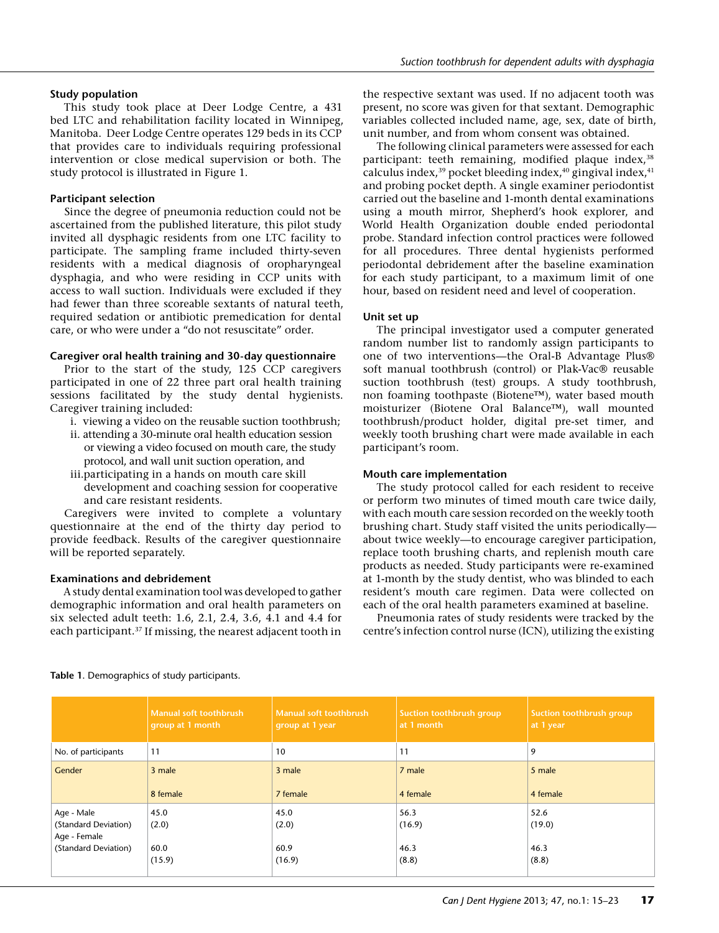## **Study population**

This study took place at Deer Lodge Centre, a 431 bed LTC and rehabilitation facility located in Winnipeg, Manitoba. Deer Lodge Centre operates 129 beds in its CCP that provides care to individuals requiring professional intervention or close medical supervision or both. The study protocol is illustrated in Figure 1.

# **Participant selection**

Since the degree of pneumonia reduction could not be ascertained from the published literature, this pilot study invited all dysphagic residents from one LTC facility to participate. The sampling frame included thirty-seven residents with a medical diagnosis of oropharyngeal dysphagia, and who were residing in CCP units with access to wall suction. Individuals were excluded if they had fewer than three scoreable sextants of natural teeth, required sedation or antibiotic premedication for dental care, or who were under a "do not resuscitate" order.

# **Caregiver oral health training and 30-day questionnaire**

Prior to the start of the study, 125 CCP caregivers participated in one of 22 three part oral health training sessions facilitated by the study dental hygienists. Caregiver training included:

- i. viewing a video on the reusable suction toothbrush;
- ii. attending a 30-minute oral health education session or viewing a video focused on mouth care, the study protocol, and wall unit suction operation, and
- iii.participating in a hands on mouth care skill development and coaching session for cooperative and care resistant residents.

Caregivers were invited to complete a voluntary questionnaire at the end of the thirty day period to provide feedback. Results of the caregiver questionnaire will be reported separately.

# **Examinations and debridement**

A study dental examination tool was developed to gather demographic information and oral health parameters on six selected adult teeth: 1.6, 2.1, 2.4, 3.6, 4.1 and 4.4 for each participant.37 If missing, the nearest adjacent tooth in

the respective sextant was used. If no adjacent tooth was present, no score was given for that sextant. Demographic variables collected included name, age, sex, date of birth, unit number, and from whom consent was obtained.

The following clinical parameters were assessed for each participant: teeth remaining, modified plaque index,<sup>38</sup> calculus index,<sup>39</sup> pocket bleeding index,<sup>40</sup> gingival index,<sup>41</sup> and probing pocket depth. A single examiner periodontist carried out the baseline and 1-month dental examinations using a mouth mirror, Shepherd's hook explorer, and World Health Organization double ended periodontal probe. Standard infection control practices were followed for all procedures. Three dental hygienists performed periodontal debridement after the baseline examination for each study participant, to a maximum limit of one hour, based on resident need and level of cooperation.

# **Unit set up**

The principal investigator used a computer generated random number list to randomly assign participants to one of two interventions—the Oral-B Advantage Plus® soft manual toothbrush (control) or Plak-Vac® reusable suction toothbrush (test) groups. A study toothbrush, non foaming toothpaste (Biotene™), water based mouth moisturizer (Biotene Oral Balance™), wall mounted toothbrush/product holder, digital pre-set timer, and weekly tooth brushing chart were made available in each participant's room.

# **Mouth care implementation**

The study protocol called for each resident to receive or perform two minutes of timed mouth care twice daily, with each mouth care session recorded on the weekly tooth brushing chart. Study staff visited the units periodically about twice weekly—to encourage caregiver participation, replace tooth brushing charts, and replenish mouth care products as needed. Study participants were re-examined at 1-month by the study dentist, who was blinded to each resident's mouth care regimen. Data were collected on each of the oral health parameters examined at baseline.

Pneumonia rates of study residents were tracked by the centre's infection control nurse (ICN), utilizing the existing

|                                      | Manual soft toothbrush<br>group at 1 month | Manual soft toothbrush<br>group at 1 year | Suction toothbrush group<br>at 1 month | Suction toothbrush group<br>at 1 year |
|--------------------------------------|--------------------------------------------|-------------------------------------------|----------------------------------------|---------------------------------------|
| No. of participants                  | 11                                         | 10                                        | 11                                     | 9                                     |
| Gender                               | 3 male<br>8 female                         | 3 male<br>7 female                        | 7 male<br>4 female                     | 5 male<br>4 female                    |
|                                      |                                            |                                           |                                        |                                       |
| Age - Male                           | 45.0                                       | 45.0                                      | 56.3                                   | 52.6                                  |
| (Standard Deviation)<br>Age - Female | (2.0)                                      | (2.0)                                     | (16.9)                                 | (19.0)                                |
| (Standard Deviation)                 | 60.0                                       | 60.9                                      | 46.3                                   | 46.3                                  |
|                                      | (15.9)                                     | (16.9)                                    | (8.8)                                  | (8.8)                                 |

## **Table 1**. Demographics of study participants.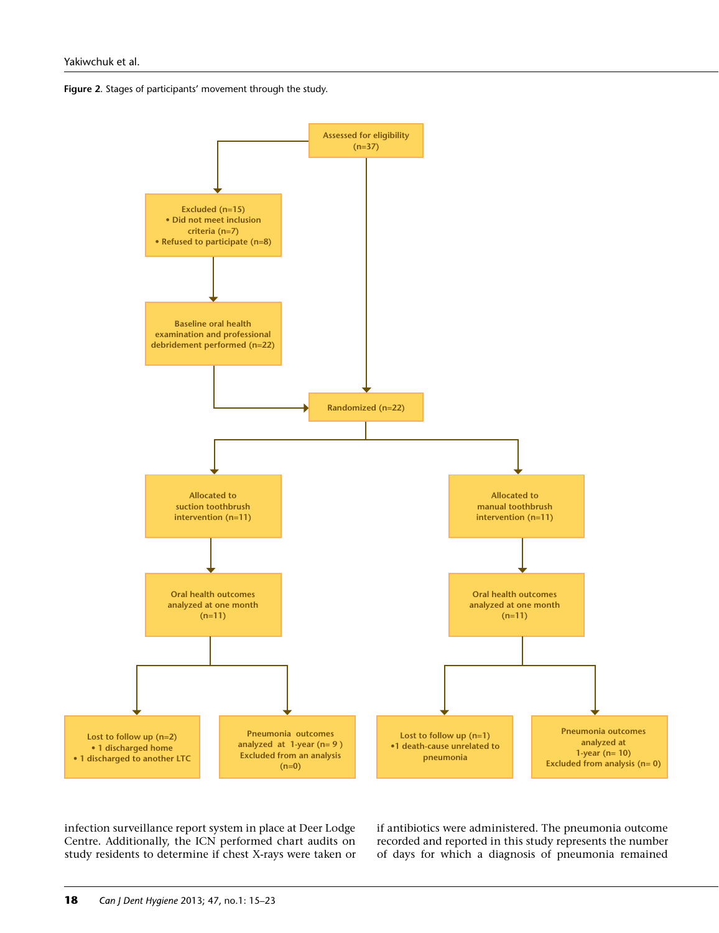



infection surveillance report system in place at Deer Lodge Centre. Additionally, the ICN performed chart audits on study residents to determine if chest X-rays were taken or if antibiotics were administered. The pneumonia outcome recorded and reported in this study represents the number of days for which a diagnosis of pneumonia remained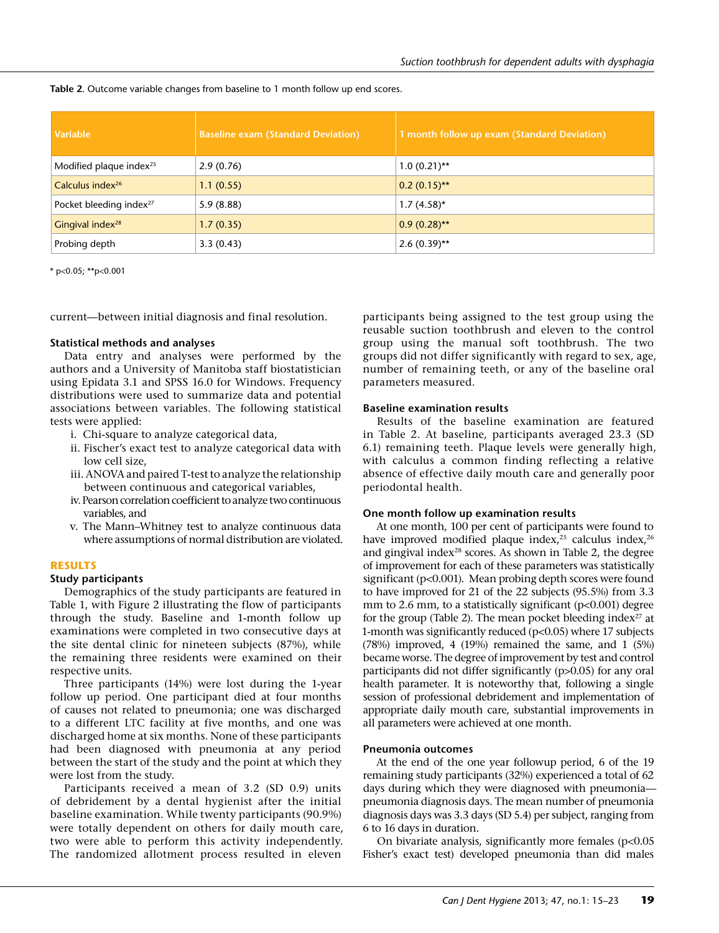| Table 2. Outcome variable changes from baseline to 1 month follow up end scores. |  |
|----------------------------------------------------------------------------------|--|
|----------------------------------------------------------------------------------|--|

| Variable                            | <b>Baseline exam (Standard Deviation)</b> | 1 month follow up exam (Standard Deviation) |
|-------------------------------------|-------------------------------------------|---------------------------------------------|
| Modified plaque index <sup>25</sup> | 2.9(0.76)                                 | $1.0(0.21)$ **                              |
| Calculus index <sup>26</sup>        | 1.1(0.55)                                 | $0.2(0.15)$ **                              |
| Pocket bleeding index <sup>27</sup> | 5.9(8.88)                                 | $1.7(4.58)$ *                               |
| Gingival index <sup>28</sup>        | 1.7(0.35)                                 | $0.9(0.28)$ **                              |
| Probing depth                       | 3.3(0.43)                                 | $2.6(0.39)$ **                              |

 $*$  p<0.05; \*\*p<0.001

current—between initial diagnosis and final resolution.

#### **Statistical methods and analyses**

Data entry and analyses were performed by the authors and a University of Manitoba staff biostatistician using Epidata 3.1 and SPSS 16.0 for Windows. Frequency distributions were used to summarize data and potential associations between variables. The following statistical tests were applied:

- i. Chi-square to analyze categorical data,
- ii. Fischer's exact test to analyze categorical data with low cell size,
- iii. ANOVA and paired T-test to analyze the relationship between continuous and categorical variables,
- iv. Pearson correlation coefficient to analyze two continuous variables, and
- v. The Mann–Whitney test to analyze continuous data where assumptions of normal distribution are violated.

## **RESULTS**

#### **Study participants**

Demographics of the study participants are featured in Table 1, with Figure 2 illustrating the flow of participants through the study. Baseline and 1-month follow up examinations were completed in two consecutive days at the site dental clinic for nineteen subjects (87%), while the remaining three residents were examined on their respective units.

Three participants (14%) were lost during the 1-year follow up period. One participant died at four months of causes not related to pneumonia; one was discharged to a different LTC facility at five months, and one was discharged home at six months. None of these participants had been diagnosed with pneumonia at any period between the start of the study and the point at which they were lost from the study.

Participants received a mean of 3.2 (SD 0.9) units of debridement by a dental hygienist after the initial baseline examination. While twenty participants (90.9%) were totally dependent on others for daily mouth care, two were able to perform this activity independently. The randomized allotment process resulted in eleven

participants being assigned to the test group using the reusable suction toothbrush and eleven to the control group using the manual soft toothbrush. The two groups did not differ significantly with regard to sex, age, number of remaining teeth, or any of the baseline oral parameters measured.

#### **Baseline examination results**

Results of the baseline examination are featured in Table 2. At baseline, participants averaged 23.3 (SD 6.1) remaining teeth. Plaque levels were generally high, with calculus a common finding reflecting a relative absence of effective daily mouth care and generally poor periodontal health.

## **One month follow up examination results**

At one month, 100 per cent of participants were found to have improved modified plaque index,<sup>25</sup> calculus index,<sup>26</sup> and gingival index $28$  scores. As shown in Table 2, the degree of improvement for each of these parameters was statistically significant (p<0.001). Mean probing depth scores were found to have improved for 21 of the 22 subjects (95.5%) from 3.3 mm to 2.6 mm, to a statistically significant  $(p<0.001)$  degree for the group (Table 2). The mean pocket bleeding index $^{27}$  at 1-month was significantly reduced ( $p<0.05$ ) where 17 subjects (78%) improved, 4 (19%) remained the same, and 1 (5%) became worse. The degree of improvement by test and control participants did not differ significantly (p>0.05) for any oral health parameter. It is noteworthy that, following a single session of professional debridement and implementation of appropriate daily mouth care, substantial improvements in all parameters were achieved at one month.

#### **Pneumonia outcomes**

At the end of the one year followup period, 6 of the 19 remaining study participants (32%) experienced a total of 62 days during which they were diagnosed with pneumonia pneumonia diagnosis days. The mean number of pneumonia diagnosis days was 3.3 days (SD 5.4) per subject, ranging from 6 to 16 days in duration.

On bivariate analysis, significantly more females (p<0.05 Fisher's exact test) developed pneumonia than did males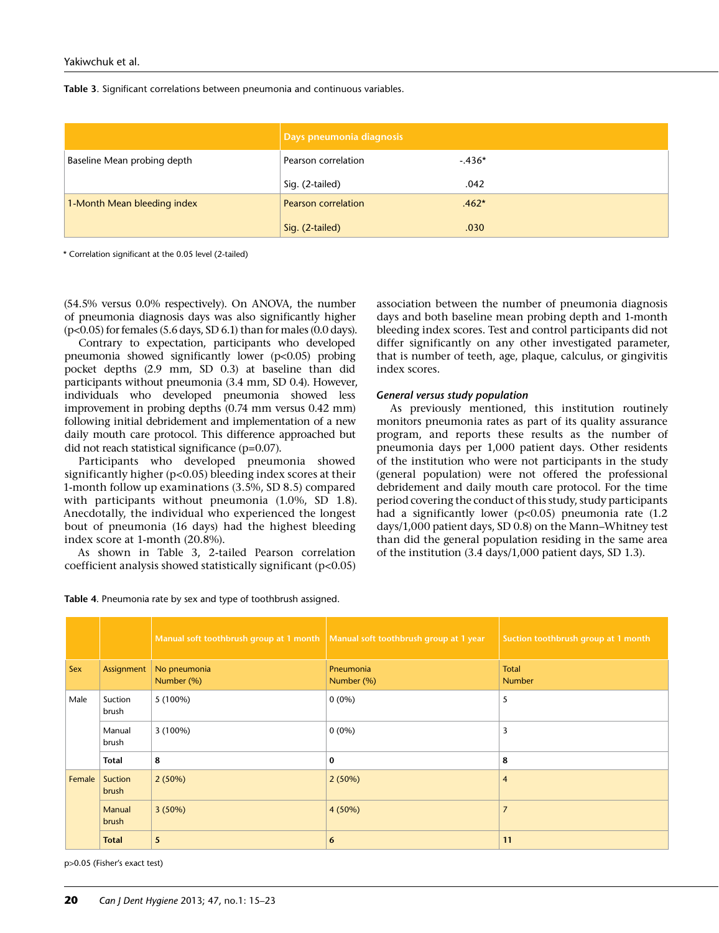#### **Table 3**. Significant correlations between pneumonia and continuous variables.

|                             | Days pneumonia diagnosis   |         |
|-----------------------------|----------------------------|---------|
| Baseline Mean probing depth | Pearson correlation        | $-436*$ |
|                             | Sig. (2-tailed)            | .042    |
| 1-Month Mean bleeding index | <b>Pearson correlation</b> | $.462*$ |
|                             | Sig. (2-tailed)            | .030    |

\* Correlation significant at the 0.05 level (2-tailed)

(54.5% versus 0.0% respectively). On ANOVA, the number of pneumonia diagnosis days was also significantly higher  $(p<0.05)$  for females (5.6 days, SD 6.1) than for males (0.0 days).

Contrary to expectation, participants who developed pneumonia showed significantly lower (p<0.05) probing pocket depths (2.9 mm, SD 0.3) at baseline than did participants without pneumonia (3.4 mm, SD 0.4). However, individuals who developed pneumonia showed less improvement in probing depths (0.74 mm versus 0.42 mm) following initial debridement and implementation of a new daily mouth care protocol. This difference approached but did not reach statistical significance (p=0.07).

Participants who developed pneumonia showed significantly higher (p<0.05) bleeding index scores at their 1-month follow up examinations (3.5%, SD 8.5) compared with participants without pneumonia (1.0%, SD 1.8). Anecdotally, the individual who experienced the longest bout of pneumonia (16 days) had the highest bleeding index score at 1-month (20.8%).

As shown in Table 3, 2-tailed Pearson correlation coefficient analysis showed statistically significant (p<0.05) association between the number of pneumonia diagnosis days and both baseline mean probing depth and 1-month bleeding index scores. Test and control participants did not differ significantly on any other investigated parameter, that is number of teeth, age, plaque, calculus, or gingivitis index scores.

#### *General versus study population*

As previously mentioned, this institution routinely monitors pneumonia rates as part of its quality assurance program, and reports these results as the number of pneumonia days per 1,000 patient days. Other residents of the institution who were not participants in the study (general population) were not offered the professional debridement and daily mouth care protocol. For the time period covering the conduct of this study, study participants had a significantly lower (p<0.05) pneumonia rate (1.2 days/1,000 patient days, SD 0.8) on the Mann–Whitney test than did the general population residing in the same area of the institution (3.4 days/1,000 patient days, SD 1.3).

|        |                  | Manual soft toothbrush group at 1 month Manual soft toothbrush group at 1 year |                         | Suction toothbrush group at 1 month |
|--------|------------------|--------------------------------------------------------------------------------|-------------------------|-------------------------------------|
| Sex    | Assignment       | No pneumonia<br>Number (%)                                                     | Pneumonia<br>Number (%) | Total<br><b>Number</b>              |
| Male   | Suction<br>brush | $5(100\%)$                                                                     | $0(0\%)$                | 5                                   |
|        | Manual<br>brush  | $3(100\%)$                                                                     | $0(0\%)$                | 3                                   |
|        | Total            | 8                                                                              | 0                       | 8                                   |
| Female | Suction<br>brush | 2(50%)                                                                         | 2(50%)                  | $\overline{4}$                      |
|        | Manual<br>brush  | 3(50%)                                                                         | 4 (50%)                 | $\overline{7}$                      |
|        | <b>Total</b>     | 5                                                                              | 6                       | 11                                  |

**Table 4**. Pneumonia rate by sex and type of toothbrush assigned.

p>0.05 (Fisher's exact test)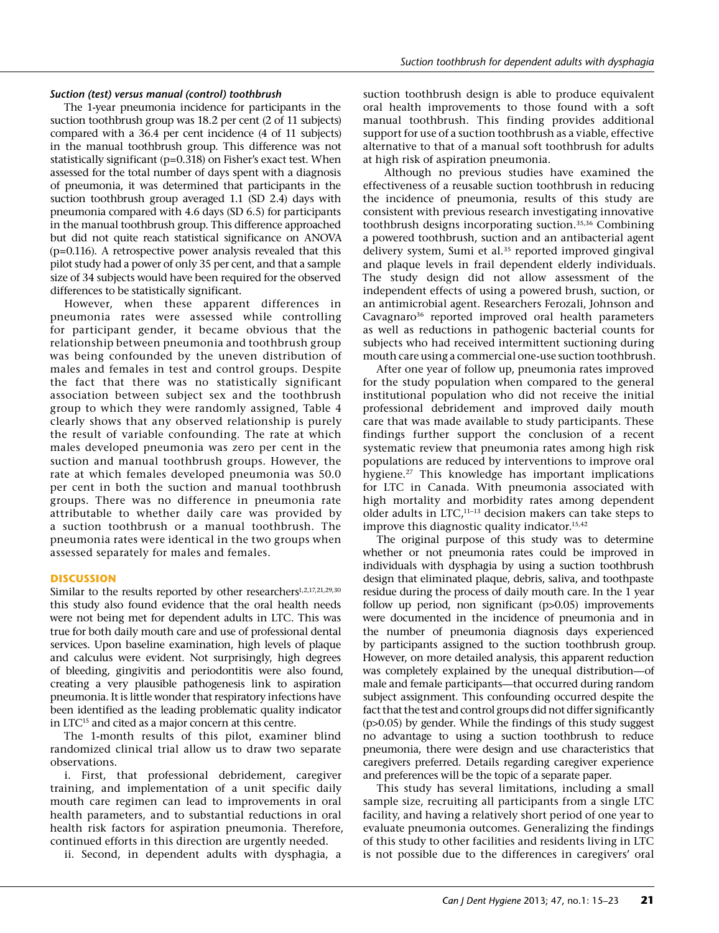## *Suction (test) versus manual (control) toothbrush*

The 1-year pneumonia incidence for participants in the suction toothbrush group was 18.2 per cent (2 of 11 subjects) compared with a 36.4 per cent incidence (4 of 11 subjects) in the manual toothbrush group. This difference was not statistically significant (p=0.318) on Fisher's exact test. When assessed for the total number of days spent with a diagnosis of pneumonia, it was determined that participants in the suction toothbrush group averaged 1.1 (SD 2.4) days with pneumonia compared with 4.6 days (SD 6.5) for participants in the manual toothbrush group. This difference approached but did not quite reach statistical significance on ANOVA (p=0.116). A retrospective power analysis revealed that this pilot study had a power of only 35 per cent, and that a sample size of 34 subjects would have been required for the observed differences to be statistically significant.

However, when these apparent differences in pneumonia rates were assessed while controlling for participant gender, it became obvious that the relationship between pneumonia and toothbrush group was being confounded by the uneven distribution of males and females in test and control groups. Despite the fact that there was no statistically significant association between subject sex and the toothbrush group to which they were randomly assigned, Table 4 clearly shows that any observed relationship is purely the result of variable confounding. The rate at which males developed pneumonia was zero per cent in the suction and manual toothbrush groups. However, the rate at which females developed pneumonia was 50.0 per cent in both the suction and manual toothbrush groups. There was no difference in pneumonia rate attributable to whether daily care was provided by a suction toothbrush or a manual toothbrush. The pneumonia rates were identical in the two groups when assessed separately for males and females.

## **DISCUSSION**

Similar to the results reported by other researchers<sup>1,2,17,21,29,30</sup> this study also found evidence that the oral health needs were not being met for dependent adults in LTC. This was true for both daily mouth care and use of professional dental services. Upon baseline examination, high levels of plaque and calculus were evident. Not surprisingly, high degrees of bleeding, gingivitis and periodontitis were also found, creating a very plausible pathogenesis link to aspiration pneumonia. It is little wonder that respiratory infections have been identified as the leading problematic quality indicator in LTC<sup>15</sup> and cited as a major concern at this centre.

The 1-month results of this pilot, examiner blind randomized clinical trial allow us to draw two separate observations.

i. First, that professional debridement, caregiver training, and implementation of a unit specific daily mouth care regimen can lead to improvements in oral health parameters, and to substantial reductions in oral health risk factors for aspiration pneumonia. Therefore, continued efforts in this direction are urgently needed.

ii. Second, in dependent adults with dysphagia, a

suction toothbrush design is able to produce equivalent oral health improvements to those found with a soft manual toothbrush. This finding provides additional support for use of a suction toothbrush as a viable, effective alternative to that of a manual soft toothbrush for adults at high risk of aspiration pneumonia.

 Although no previous studies have examined the effectiveness of a reusable suction toothbrush in reducing the incidence of pneumonia, results of this study are consistent with previous research investigating innovative toothbrush designs incorporating suction.35,36 Combining a powered toothbrush, suction and an antibacterial agent delivery system, Sumi et al.<sup>35</sup> reported improved gingival and plaque levels in frail dependent elderly individuals. The study design did not allow assessment of the independent effects of using a powered brush, suction, or an antimicrobial agent. Researchers Ferozali, Johnson and Cavagnaro<sup>36</sup> reported improved oral health parameters as well as reductions in pathogenic bacterial counts for subjects who had received intermittent suctioning during mouth care using a commercial one-use suction toothbrush.

After one year of follow up, pneumonia rates improved for the study population when compared to the general institutional population who did not receive the initial professional debridement and improved daily mouth care that was made available to study participants. These findings further support the conclusion of a recent systematic review that pneumonia rates among high risk populations are reduced by interventions to improve oral hygiene.27 This knowledge has important implications for LTC in Canada. With pneumonia associated with high mortality and morbidity rates among dependent older adults in LTC,11–13 decision makers can take steps to improve this diagnostic quality indicator.<sup>15,42</sup>

The original purpose of this study was to determine whether or not pneumonia rates could be improved in individuals with dysphagia by using a suction toothbrush design that eliminated plaque, debris, saliva, and toothpaste residue during the process of daily mouth care. In the 1 year follow up period, non significant (p>0.05) improvements were documented in the incidence of pneumonia and in the number of pneumonia diagnosis days experienced by participants assigned to the suction toothbrush group. However, on more detailed analysis, this apparent reduction was completely explained by the unequal distribution—of male and female participants—that occurred during random subject assignment. This confounding occurred despite the fact that the test and control groups did not differ significantly (p>0.05) by gender. While the findings of this study suggest no advantage to using a suction toothbrush to reduce pneumonia, there were design and use characteristics that caregivers preferred. Details regarding caregiver experience and preferences will be the topic of a separate paper.

This study has several limitations, including a small sample size, recruiting all participants from a single LTC facility, and having a relatively short period of one year to evaluate pneumonia outcomes. Generalizing the findings of this study to other facilities and residents living in LTC is not possible due to the differences in caregivers' oral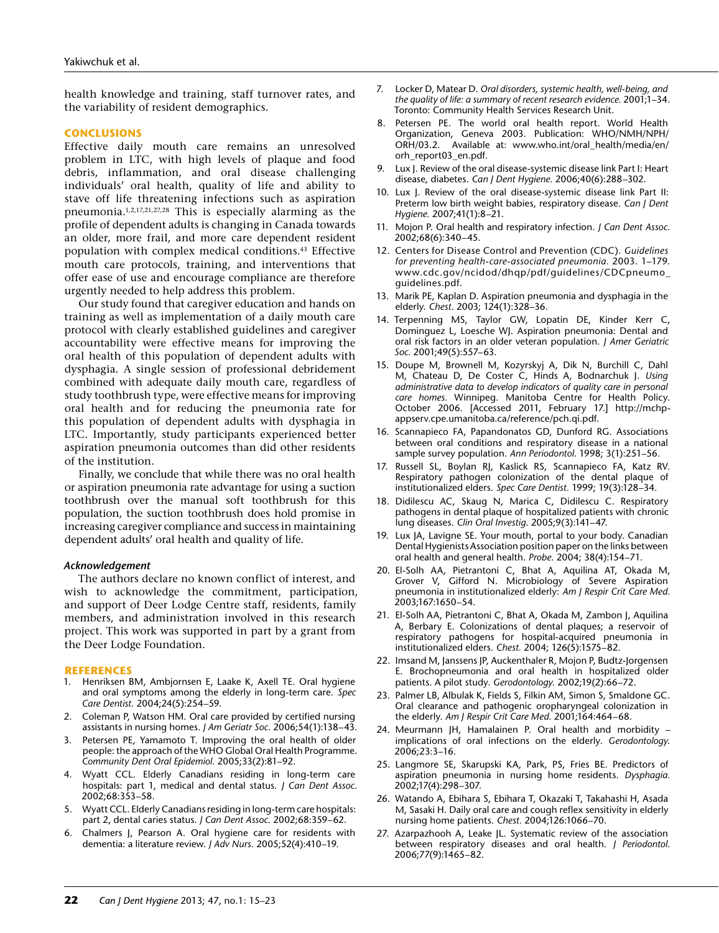health knowledge and training, staff turnover rates, and the variability of resident demographics.

#### **CONCLUSIONS**

Effective daily mouth care remains an unresolved problem in LTC, with high levels of plaque and food debris, inflammation, and oral disease challenging individuals' oral health, quality of life and ability to stave off life threatening infections such as aspiration pneumonia.1,2,17,21,27,28 This is especially alarming as the profile of dependent adults is changing in Canada towards an older, more frail, and more care dependent resident population with complex medical conditions.43 Effective mouth care protocols, training, and interventions that offer ease of use and encourage compliance are therefore urgently needed to help address this problem.

Our study found that caregiver education and hands on training as well as implementation of a daily mouth care protocol with clearly established guidelines and caregiver accountability were effective means for improving the oral health of this population of dependent adults with dysphagia. A single session of professional debridement combined with adequate daily mouth care, regardless of study toothbrush type, were effective means for improving oral health and for reducing the pneumonia rate for this population of dependent adults with dysphagia in LTC. Importantly, study participants experienced better aspiration pneumonia outcomes than did other residents of the institution.

Finally, we conclude that while there was no oral health or aspiration pneumonia rate advantage for using a suction toothbrush over the manual soft toothbrush for this population, the suction toothbrush does hold promise in increasing caregiver compliance and success in maintaining dependent adults' oral health and quality of life.

#### *Acknowledgement*

The authors declare no known conflict of interest, and wish to acknowledge the commitment, participation, and support of Deer Lodge Centre staff, residents, family members, and administration involved in this research project. This work was supported in part by a grant from the Deer Lodge Foundation.

#### **REFERENCES**

- 1. Henriksen BM, Ambjornsen E, Laake K, Axell TE. Oral hygiene and oral symptoms among the elderly in long-term care. *Spec Care Dentist.* 2004;24(5):254–59.
- 2. Coleman P, Watson HM. Oral care provided by certified nursing assistants in nursing homes. *J Am Geriatr Soc.* 2006;54(1):138–43.
- 3. Petersen PE, Yamamoto T. Improving the oral health of older people: the approach of the WHO Global Oral Health Programme. *Community Dent Oral Epidemiol.* 2005;33(2):81–92.
- 4. Wyatt CCL. Elderly Canadians residing in long-term care hospitals: part 1, medical and dental status. *J Can Dent Assoc*. 2002;68:353–58.
- 5. Wyatt CCL. Elderly Canadians residing in long-term care hospitals: part 2, dental caries status. *J Can Dent Assoc*. 2002;68:359–62.
- 6. Chalmers J, Pearson A. Oral hygiene care for residents with dementia: a literature review. *J Adv Nurs*. 2005;52(4):410–19.
- 7. Locker D, Matear D. *Oral disorders, systemic health, well-being, and the quality of life: a summary of recent research evidence.* 2001;1–34. Toronto: Community Health Services Research Unit.
- 8. Petersen PE. The world oral health report. World Health Organization, Geneva 2003. Publication: WHO/NMH/NPH/ ORH/03.2. Available at: www.who.int/oral\_health/media/en/ orh\_report03\_en.pdf.
- 9. Lux J. Review of the oral disease-systemic disease link Part I: Heart disease, diabetes. *Can J Dent Hygiene*. 2006;40(6):288–302.
- 10. Lux J. Review of the oral disease-systemic disease link Part II: Preterm low birth weight babies, respiratory disease. *Can J Dent Hygiene.* 2007;41(1):8–21.
- 11. Mojon P. Oral health and respiratory infection. *J Can Dent Assoc.* 2002;68(6):340–45.
- 12. Centers for Disease Control and Prevention (CDC). *Guidelines for preventing health-care-associated pneumonia.* 2003. 1–179. www.cdc.gov/ncidod/dhqp/pdf/guidelines/CDCpneumo\_ guidelines.pdf.
- 13. Marik PE, Kaplan D. Aspiration pneumonia and dysphagia in the elderly. *Chest*. 2003; 124(1):328–36.
- 14. Terpenning MS, Taylor GW, Lopatin DE, Kinder Kerr C, Dominguez L, Loesche WJ. Aspiration pneumonia: Dental and oral risk factors in an older veteran population. *J Amer Geriatric Soc.* 2001;49(5):557–63.
- 15. Doupe M, Brownell M, Kozyrskyj A, Dik N, Burchill C, Dahl M, Chateau D, De Coster C, Hinds A, Bodnarchuk J. *Using administrative data to develop indicators of quality care in personal care homes.* Winnipeg. Manitoba Centre for Health Policy. October 2006. [Accessed 2011, February 17.] http://mchpappserv.cpe.umanitoba.ca/reference/pch.qi.pdf.
- 16. Scannapieco FA, Papandonatos GD, Dunford RG. Associations between oral conditions and respiratory disease in a national sample survey population. *Ann Periodontol*. 1998; 3(1):251–56.
- 17. Russell SL, Boylan RJ, Kaslick RS, Scannapieco FA, Katz RV. Respiratory pathogen colonization of the dental plaque of institutionalized elders. *Spec Care Dentist.* 1999; 19(3):128–34.
- 18. Didilescu AC, Skaug N, Marica C, Didilescu C. Respiratory pathogens in dental plaque of hospitalized patients with chronic lung diseases. *Clin Oral Investig*. 2005;9(3):141–47.
- 19. Lux JA, Lavigne SE. Your mouth, portal to your body. Canadian Dental Hygienists Association position paper on the links between oral health and general health. *Probe*. 2004; 38(4):154–71.
- 20. El-Solh AA, Pietrantoni C, Bhat A, Aquilina AT, Okada M, Grover V, Gifford N. Microbiology of Severe Aspiration pneumonia in institutionalized elderly: *Am J Respir Crit Care Med.* 2003;167:1650–54.
- 21. El-Solh AA, Pietrantoni C, Bhat A, Okada M, Zambon J, Aquilina A, Berbary E. Colonizations of dental plaques; a reservoir of respiratory pathogens for hospital-acquired pneumonia in institutionalized elders. *Chest.* 2004; 126(5):1575–82.
- 22. Imsand M, Janssens JP, Auckenthaler R, Mojon P, Budtz-Jorgensen E. Brochopneumonia and oral health in hospitalized older patients. A pilot study. *Gerodontology*. 2002;19(2):66–72.
- 23. Palmer LB, Albulak K, Fields S, Filkin AM, Simon S, Smaldone GC. Oral clearance and pathogenic oropharyngeal colonization in the elderly. *Am J Respir Crit Care Med.* 2001;164:464–68.
- 24. Meurmann JH, Hamalainen P. Oral health and morbidity implications of oral infections on the elderly. *Gerodontology*. 2006;23:3–16.
- 25. Langmore SE, Skarupski KA, Park, PS, Fries BE. Predictors of aspiration pneumonia in nursing home residents. *Dysphagia.* 2002;17(4):298–307.
- 26. Watando A, Ebihara S, Ebihara T, Okazaki T, Takahashi H, Asada M, Sasaki H. Daily oral care and cough reflex sensitivity in elderly nursing home patients. *Chest.* 2004;126:1066–70.
- 27. Azarpazhooh A, Leake JL. Systematic review of the association between respiratory diseases and oral health. *J Periodontol*. 2006;77(9):1465–82.